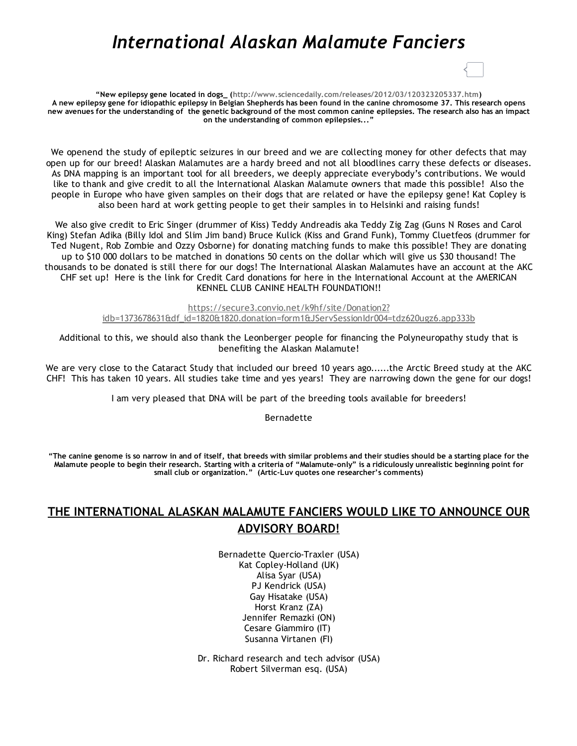## *International Alaskan Malamute Fanciers*

"New epilepsy gene located in dogs\_ ([http://www.sciencedaily.com/releases/2012/03/120323205337.htm\)](http://www.sciencedaily.com/releases/2012/03/120323205337.htm) A new epilepsy gene for idiopathic epilepsy in Belgian Shepherds has been found in the canine chromosome 37. This research opens new avenues for the understanding of the genetic background of the most common canine epilepsies. The research also has an impact on the understanding of common epilepsies..."

We openend the study of epileptic seizures in our breed and we are collecting money for other defects that may open up for our breed! Alaskan Malamutes are a hardy breed and not all bloodlines carry these defects or diseases. As DNA mapping is an important tool for all breeders, we deeply appreciate everybody's contributions. We would like to thank and give credit to all the International Alaskan Malamute owners that made this possible! Also the people in Europe who have given samples on their dogs that are related or have the epilepsy gene! Kat Copley is also been hard at work getting people to get their samples in to Helsinki and raising funds!

We also give credit to Eric Singer (drummer of Kiss) Teddy Andreadis aka Teddy Zig Zag (Guns N Roses and Carol King) Stefan Adika (Billy Idol and Slim Jim band) Bruce Kulick (Kiss and Grand Funk), Tommy Cluetfeos (drummer for Ted Nugent, Rob Zombie and Ozzy Osborne) for donating matching funds to make this possible! They are donating up to \$10 000 dollars to be matched in donations 50 cents on the dollar which will give us \$30 thousand! The thousands to be donated is still there for our dogs! The International Alaskan Malamutes have an account at the AKC CHF set up! Here is the link for Credit Card donations for here in the International Account at the AMERICAN KENNEL CLUB CANINE HEALTH FOUNDATION!!

> https://secure3.convio.net/k9hf/site/Donation2? [idb=1373678631&df\\_id=1820&1820.donation=form1&JServSessionIdr004=tdz620ugz6.app333b](https://secure3.convio.net/k9hf/site/Donation2?idb=1373678631&df_id=1820&182%0A0.donation=form1&JServSessionIdr004=tdz620ugz6.app333b)

Additional to this, we should also thank the Leonberger people for financing the Polyneuropathy study that is benefiting the Alaskan Malamute!

We are very close to the Cataract Study that included our breed 10 years ago......the Arctic Breed study at the AKC CHF! This has taken 10 years. All studies take time and yes years! They are narrowing down the gene for our dogs!

I am very pleased that DNA will be part of the breeding tools available for breeders!

Bernadette

"The canine genome is so narrow in and of itself, that breeds with similar problems and their studies should be a starting place for the Malamute people to begin their research. Starting with a criteria of "Malamute‐only" is a ridiculously unrealistic beginning point for small club or organization." (Artic-Luv quotes one researcher's comments)

## THE INTERNATIONAL ALASKAN MALAMUTE FANCIERS WOULD LIKE TO ANNOUNCE OUR ADVISORY BOARD!

Bernadette Quercio‐Traxler (USA) Kat Copley‐Holland (UK) Alisa Syar (USA) PJ Kendrick (USA) Gay Hisatake (USA) Horst Kranz (ZA) Jennifer Remazki (ON) Cesare Giammiro (IT) Susanna Virtanen (FI)

Dr. Richard research and tech advisor (USA) Robert Silverman esq. (USA)